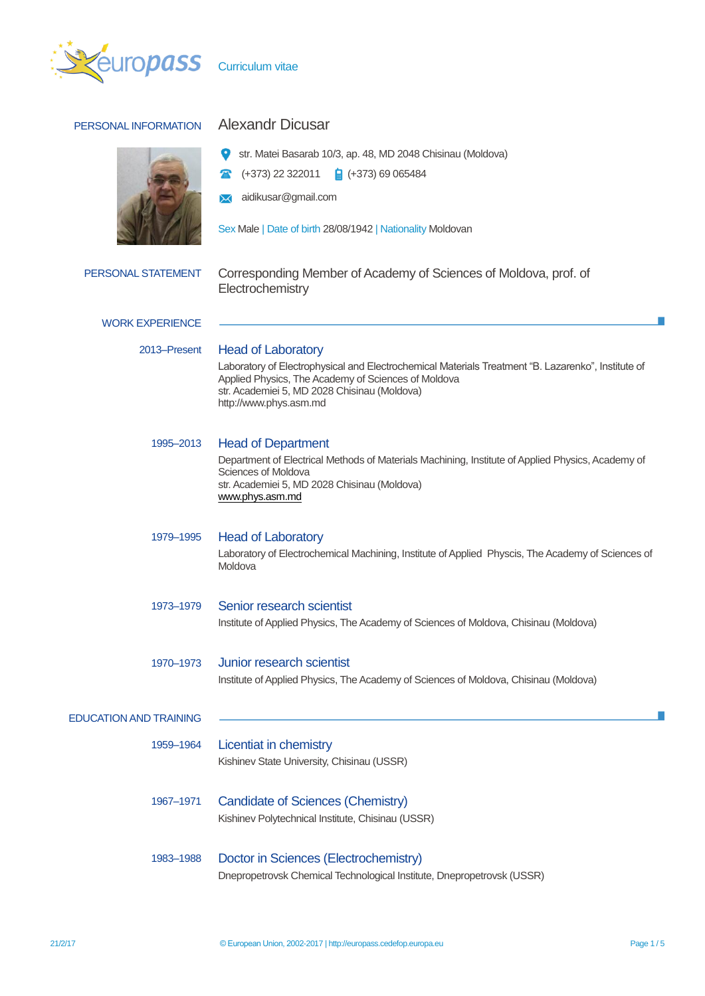

# PERSONAL INFORMATION Alexandr Dicusar



|  | Str. Matei Basarab 10/3, ap. 48, MD 2048 Chisinau (Moldova) |  |  |  |  |
|--|-------------------------------------------------------------|--|--|--|--|
|--|-------------------------------------------------------------|--|--|--|--|

- $\bullet$  (+373) 22 322011  $\bullet$  (+373) 69 065484
- aidikusar@gmail.com

Sex Male | Date of birth 28/08/1942 | Nationality Moldovan

| PERSONAL STATEMENT            | Corresponding Member of Academy of Sciences of Moldova, prof. of<br>Electrochemistry                                                                                                                                                |  |  |  |
|-------------------------------|-------------------------------------------------------------------------------------------------------------------------------------------------------------------------------------------------------------------------------------|--|--|--|
| <b>WORK EXPERIENCE</b>        |                                                                                                                                                                                                                                     |  |  |  |
| 2013-Present                  | <b>Head of Laboratory</b>                                                                                                                                                                                                           |  |  |  |
|                               | Laboratory of Electrophysical and Electrochemical Materials Treatment "B. Lazarenko", Institute of<br>Applied Physics, The Academy of Sciences of Moldova<br>str. Academiei 5, MD 2028 Chisinau (Moldova)<br>http://www.phys.asm.md |  |  |  |
| 1995–2013                     | <b>Head of Department</b>                                                                                                                                                                                                           |  |  |  |
|                               | Department of Electrical Methods of Materials Machining, Institute of Applied Physics, Academy of<br>Sciences of Moldova<br>str. Academiei 5, MD 2028 Chisinau (Moldova)<br>www.phys.asm.md                                         |  |  |  |
| 1979–1995                     | <b>Head of Laboratory</b>                                                                                                                                                                                                           |  |  |  |
|                               | Laboratory of Electrochemical Machining, Institute of Applied Physcis, The Academy of Sciences of<br>Moldova                                                                                                                        |  |  |  |
| 1973-1979                     | Senior research scientist<br>Institute of Applied Physics, The Academy of Sciences of Moldova, Chisinau (Moldova)                                                                                                                   |  |  |  |
|                               |                                                                                                                                                                                                                                     |  |  |  |
| 1970-1973                     | Junior research scientist<br>Institute of Applied Physics, The Academy of Sciences of Moldova, Chisinau (Moldova)                                                                                                                   |  |  |  |
| <b>EDUCATION AND TRAINING</b> |                                                                                                                                                                                                                                     |  |  |  |
| 1959–1964                     | Licentiat in chemistry<br>Kishinev State University, Chisinau (USSR)                                                                                                                                                                |  |  |  |
| 1967-1971                     | Candidate of Sciences (Chemistry)                                                                                                                                                                                                   |  |  |  |
|                               | Kishinev Polytechnical Institute, Chisinau (USSR)                                                                                                                                                                                   |  |  |  |
| 1983-1988                     | Doctor in Sciences (Electrochemistry)<br>Dnepropetrovsk Chemical Technological Institute, Dnepropetrovsk (USSR)                                                                                                                     |  |  |  |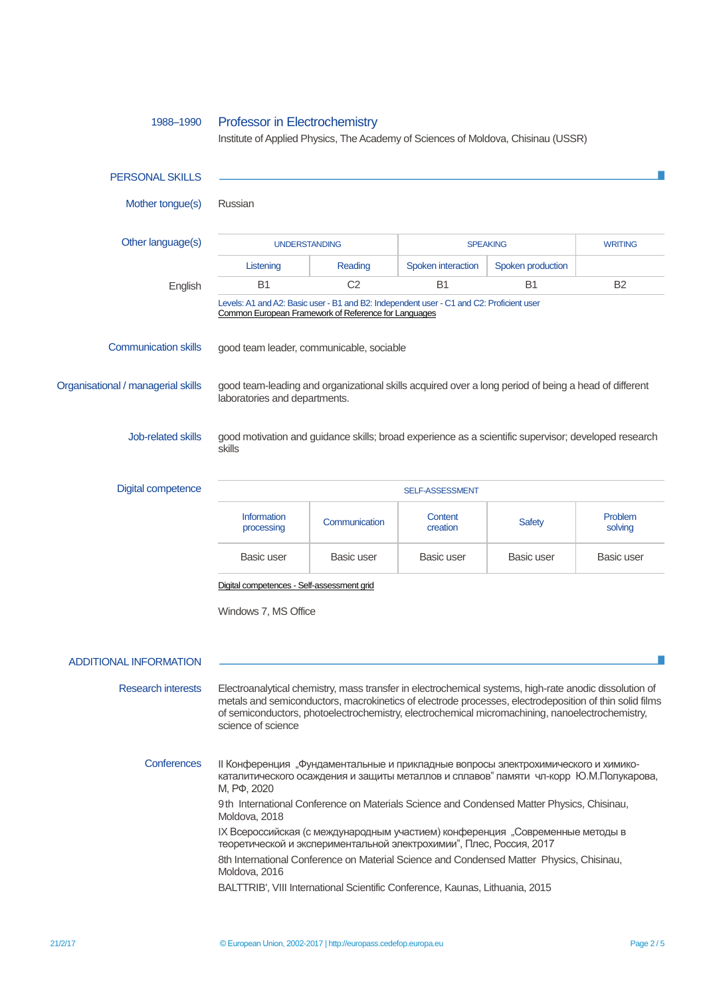# 1988–1990 Professor in Electrochemistry

Institute of Applied Physics, The Academy of Sciences of Moldova, Chisinau (USSR)

| <b>PERSONAL SKILLS</b>             |                                                                                                                                                                                                                                                                                                                                           |                |                     |                   |                    |  |
|------------------------------------|-------------------------------------------------------------------------------------------------------------------------------------------------------------------------------------------------------------------------------------------------------------------------------------------------------------------------------------------|----------------|---------------------|-------------------|--------------------|--|
| Mother tongue(s)                   | Russian                                                                                                                                                                                                                                                                                                                                   |                |                     |                   |                    |  |
| Other language(s)                  | <b>UNDERSTANDING</b>                                                                                                                                                                                                                                                                                                                      |                | <b>SPEAKING</b>     |                   | <b>WRITING</b>     |  |
|                                    | Listening                                                                                                                                                                                                                                                                                                                                 | Reading        | Spoken interaction  | Spoken production |                    |  |
| English                            | B <sub>1</sub>                                                                                                                                                                                                                                                                                                                            | C <sub>2</sub> | B <sub>1</sub>      | B <sub>1</sub>    | B <sub>2</sub>     |  |
|                                    | Levels: A1 and A2: Basic user - B1 and B2: Independent user - C1 and C2: Proficient user<br>Common European Framework of Reference for Languages                                                                                                                                                                                          |                |                     |                   |                    |  |
| <b>Communication skills</b>        | good team leader, communicable, sociable                                                                                                                                                                                                                                                                                                  |                |                     |                   |                    |  |
| Organisational / managerial skills | good team-leading and organizational skills acquired over a long period of being a head of different<br>laboratories and departments.                                                                                                                                                                                                     |                |                     |                   |                    |  |
| Job-related skills                 | good motivation and guidance skills; broad experience as a scientific supervisor; developed research<br>skills                                                                                                                                                                                                                            |                |                     |                   |                    |  |
| <b>Digital competence</b>          | SELF-ASSESSMENT                                                                                                                                                                                                                                                                                                                           |                |                     |                   |                    |  |
|                                    | <b>Information</b><br>processing                                                                                                                                                                                                                                                                                                          | Communication  | Content<br>creation | <b>Safety</b>     | Problem<br>solving |  |
|                                    | Basic user                                                                                                                                                                                                                                                                                                                                | Basic user     | Basic user          | Basic user        | Basic user         |  |
|                                    | Digital competences - Self-assessment grid                                                                                                                                                                                                                                                                                                |                |                     |                   |                    |  |
|                                    | Windows 7, MS Office                                                                                                                                                                                                                                                                                                                      |                |                     |                   |                    |  |
| <b>ADDITIONAL INFORMATION</b>      |                                                                                                                                                                                                                                                                                                                                           |                |                     |                   |                    |  |
| <b>Research interests</b>          | Electroanalytical chemistry, mass transfer in electrochemical systems, high-rate anodic dissolution of<br>metals and semiconductors, macrokinetics of electrode processes, electrodeposition of thin solid films<br>of semiconductors, photoelectrochemistry, electrochemical micromachining, nanoelectrochemistry,<br>science of science |                |                     |                   |                    |  |
| Conferences                        | II Конференция "Фундаментальные и прикладные вопросы электрохимического и химико-<br>каталитического осаждения и защиты металлов и сплавов" памяти чл-корр Ю.М.Полукарова,<br>M, P $\Phi$ , 2020<br>9th International Conference on Materials Science and Condensed Matter Physics, Chisinau,<br>Moldova, 2018                            |                |                     |                   |                    |  |
|                                    | IX Всероссийская (с международным участием) конференция "Современные методы в<br>теоретической и экспериментальной электрохимии", Плес, Россия, 2017<br>8th International Conference on Material Science and Condensed Matter Physics, Chisinau,                                                                                          |                |                     |                   |                    |  |
|                                    | Moldova, 2016<br>BALTTRIB', VIII International Scientific Conference, Kaunas, Lithuania, 2015                                                                                                                                                                                                                                             |                |                     |                   |                    |  |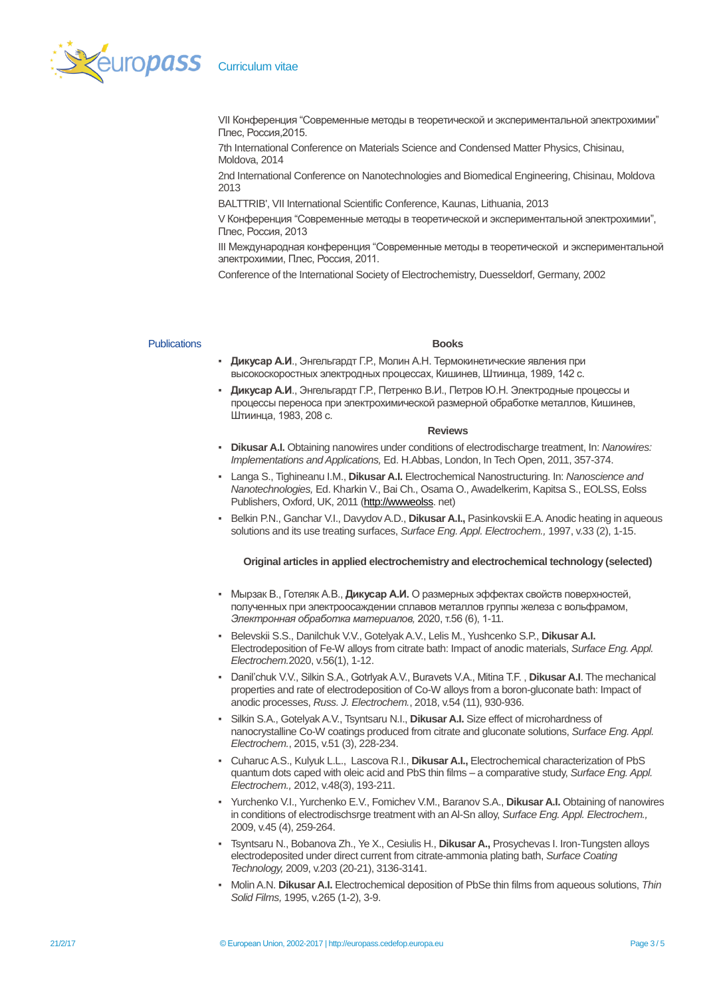

VII Конференция "Современные методы в теоретической и экспериментальной электрохимии" Плес, Россия,2015.

7th International Conference on Materials Science and Condensed Matter Physics, Chisinau, Moldova, 2014

2nd International Conference on Nanotechnologies and Biomedical Engineering, Chisinau, Moldova 2013

BALTTRIB', VII International Scientific Conference, Kaunas, Lithuania, 2013

V Конференция "Современные методы в теоретической и экспериментальной электрохимии", Плес, Россия, 2013

III Международная конференция "Современные методы в теоретической и экспериментальной электрохимии, Плес, Россия, 2011.

Conference of the International Society of Electrochemistry, Duesseldorf, Germany, 2002

## Publications **Books**

- **Дикусар А.И**., Энгельгардт Г.Р., Молин А.Н. Термокинетические явления при высокоскоростных электродных процессах, Кишинев, Штиинца, 1989, 142 с.
- **Дикусар А.И**., Энгельгардт Г.Р., Петренко В.И., Петров Ю.Н. Электродные процессы и процессы переноса при электрохимической размерной обработке металлов, Кишинев, Штиинца, 1983, 208 с.

### **Reviews**

- **Dikusar A.I.** Obtaining nanowires under conditions of electrodischarge treatment, In: *Nanowires: Implementations and Applications,* Ed. H.Abbas, London, In Tech Open, 2011, 357-374.
- Langa S., Tighineanu I.M., **Dikusar A.I.** Electrochemical Nanostructuring. In: *Nanoscience and Nanotechnologies,* Ed. Kharkin V., Bai Ch., Osama O., Awadelkerim, Kapitsa S., EOLSS, Eolss Publishers, Oxford, UK, 2011 [\(http://wwweolss.](http://wwweolss/) net)
- Belkin P.N., Ganchar V.I., Davydov A.D., Dikusar A.I., Pasinkovskii E.A. Anodic heating in aqueous solutions and its use treating surfaces, *Surface Eng. Appl. Electrochem.,* 1997, v.33 (2), 1-15.

# **Original articles in applied electrochemistry and electrochemical technology (selected)**

- Мырзак В., Готеляк А.В., **Дикусар А.И.** О размерных эффектах свойств поверхностей, полученных при электроосаждении сплавов металлов группы железа с вольфрамом, *Электронная обработка материалов,* 2020, т.56 (6), 1-11.
- Belevskii S.S., Danilchuk V.V., Gotelyak A.V., Lelis M., Yushcenko S.P., **Dikusar A.I.** Electrodeposition of Fe-W alloys from citrate bath: Impact of anodic materials, *Surface Eng. Appl. Electrochem.*2020, v.56(1), 1-12.
- Danil'chuk V.V., Silkin S.A., Gotrlyak A.V., Buravets V.A., Mitina T.F., Dikusar A.I. The mechanical properties and rate of electrodeposition of Co-W alloys from a boron-gluconate bath: Impact of anodic processes, *Russ. J. Electrochem.*, 2018, v.54 (11), 930-936.
- Silkin S.A., Gotelyak A.V., Tsyntsaru N.I., **Dikusar A.I.** Size effect of microhardness of nanocrystalline Co-W coatings produced from citrate and gluconate solutions, *Surface Eng. Appl. Electrochem.*, 2015, v.51 (3), 228-234.
- Cuharuc A.S., Kulyuk L.L., Lascova R.I., **Dikusar A.I.,** Electrochemical characterization of PbS quantum dots caped with oleic acid and PbS thin films – a comparative study, *Surface Eng. Appl. Electrochem.,* 2012, v.48(3), 193-211.
- Yurchenko V.I., Yurchenko E.V., Fomichev V.M., Baranov S.A., **Dikusar A.I.** Obtaining of nanowires in conditions of electrodischsrge treatment with an Al-Sn alloy, *Surface Eng. Appl. Electrochem.,*  2009, v.45 (4), 259-264.
- Tsyntsaru N., Bobanova Zh., Ye X., Cesiulis H., **Dikusar A.,** Prosychevas I. Iron-Tungsten alloys electrodeposited under direct current from citrate-ammonia plating bath, *Surface Coating Technology,* 2009, v.203 (20-21), 3136-3141.
- Molin A.N. **Dikusar A.I.** Electrochemical deposition of PbSe thin films from aqueous solutions, *Thin Solid Films,* 1995, v.265 (1-2), 3-9.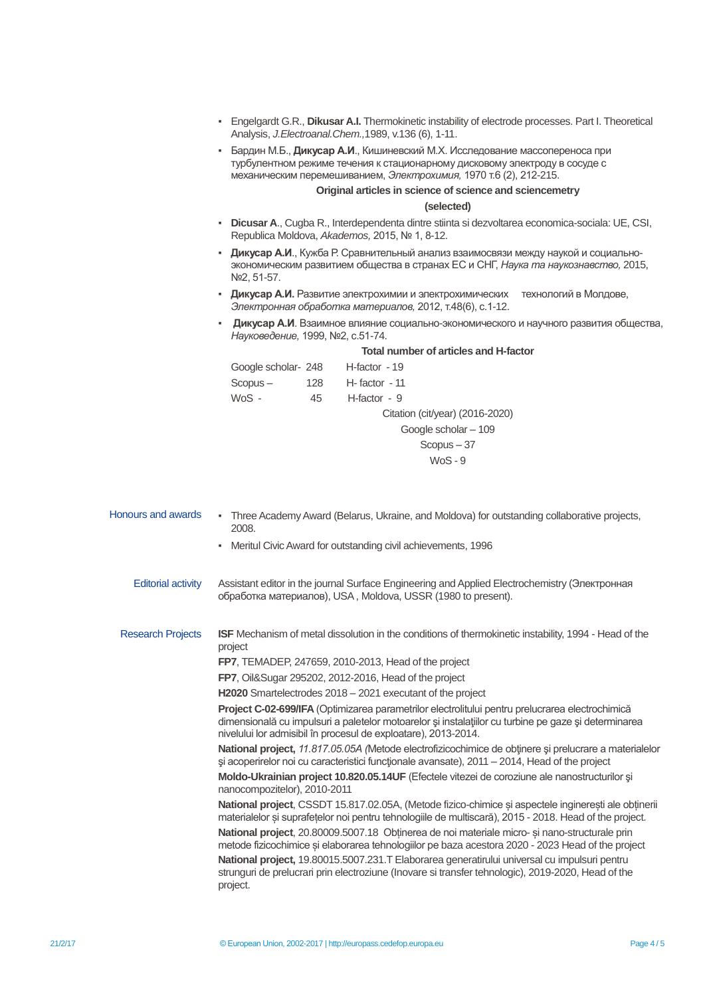- Engelgardt G.R., **Dikusar A.I.** Thermokinetic instability of electrode processes. Part I. Theoretical Analysis, *J.Electroanal.Chem.,*1989, v.136 (6), 1-11.
- Бардин М.Б., **Дикусар А.И**., Кишиневский М.Х. Исследование массопереноса при турбулентном режиме течения к стационарному дисковому электроду в сосуде с механическим перемешиванием, *Электрохимия,* 1970 т.6 (2), 212-215.

# **Original articles in science of science and sciencemetry**

## **(selected)**

- **Dicusar A**., Cugba R., Interdependenta dintre stiinta si dezvoltarea economica-sociala: UE, CSI, Republica Moldova, *Akademos,* 2015, № 1, 8-12.
- **Дикусар А.И**., Кужба Р. Сравнительный анализ взаимосвязи между наукой и социальноэкономическим развитием общества в странах ЕС и СНГ, *Наука та наукознавство,* 2015, №2, 51-57.
- **Дикусар А.И.** Развитие электрохимии и электрохимических технологий в Молдове, *Электронная обработка материалов,* 2012, т.48(6), с.1-12.
- **Дикусар А.И**. Взаимное влияние социально-экономического и научного развития общества, *Науковедение,* 1999, №2, с.51-74.

### **Total number of articles and H-factor**

| Google scholar- 248 |     | H-factor - 19                   |
|---------------------|-----|---------------------------------|
| $Scopus -$          | 128 | $H - factor - 11$               |
| WoS -               | 45  | $H$ -factor - 9                 |
|                     |     | Citation (cit/year) (2016-2020) |
|                     |     | Google scholar - 109            |
|                     |     | $Scopus - 37$                   |
|                     |     | WoS - 9                         |

- Honours and awards Three Academy Award (Belarus, Ukraine, and Moldova) for outstanding collaborative projects, 2008. Meritul Civic Award for outstanding civil achievements, 1996 Editorial activity Assistant editor in the journal Surface Engineering and Applied Electrochemistry (Электронная обработка материалов), USA , Moldova, USSR (1980 to present). Research Projects **ISF** Mechanism of metal dissolution in the conditions of thermokinetic instability, 1994 - Head of the project **FP7**, TEMADEP, 247659, 2010-2013, Head of the project **FP7**, Oil&Sugar 295202, 2012-2016, Head of the project **H2020** Smartelectrodes 2018 – 2021 executant of the project **Project C-02-699/IFA** (Optimizarea parametrilor electrolitului pentru prelucrarea electrochimică dimensională cu impulsuri a paletelor motoarelor și instalațiilor cu turbine pe gaze și determinarea nivelului lor admisibil în procesul de exploatare), 2013-2014. **National project,** *11.817.05.05А (*Metode electrofizicochimice de obţinere şi prelucrare a materialelor şi acoperirelor noi cu caracteristici funcţionale avansate), 2011 – 2014, Head of the project **Moldo-Ukrainian project 10.820.05.14UF** (Efectele vitezei de coroziune ale nanostructurilor şi nanocompozitelor), 2010-2011 National project, CSSDT 15.817.02.05A, (Metode fizico-chimice și aspectele inginerești ale obținerii materialelor și suprafețelor noi pentru tehnologiile de multiscară), 2015 - 2018. Head of the project.
	- **National project**, 20.80009.5007.18 Obținerea de noi materiale micro- și nano-structurale prin metode fizicochimice și elaborarea tehnologiilor pe baza acestora 2020 - 2023 Head of the project **National project,** 19.80015.5007.231.T Elaborarea generatirului universal cu impulsuri pentru strunguri de prelucrari prin electroziune (Inovare si transfer tehnologic), 2019-2020, Head of the project.